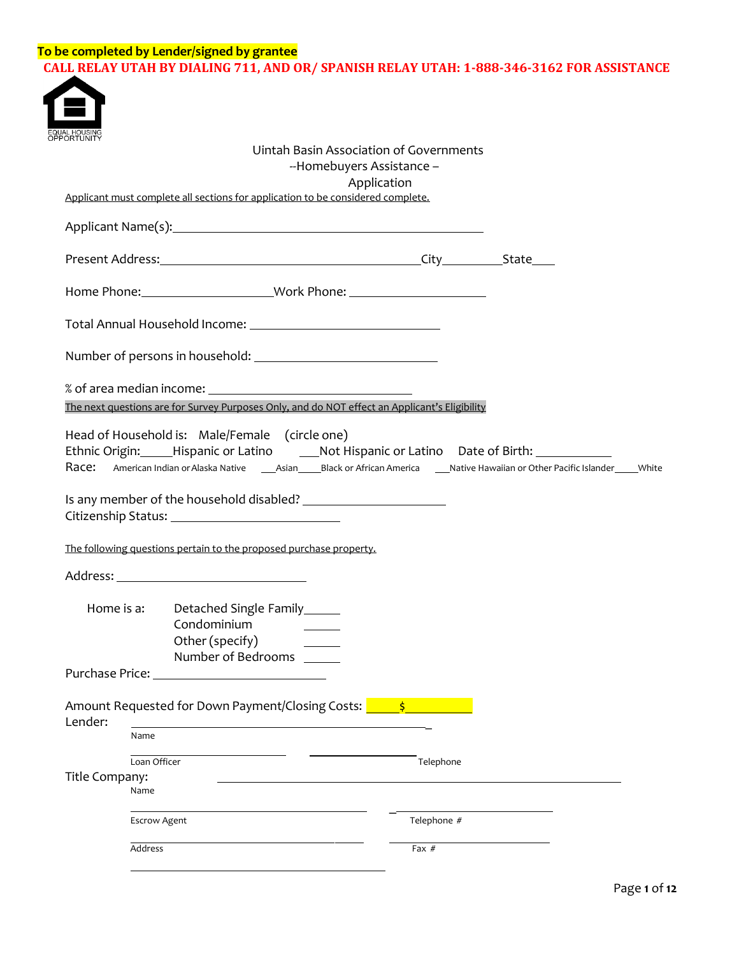## **To be completed by Lender/signed by grantee CALL RELAY UTAH BY DIALING 711, AND OR/ SPANISH RELAY UTAH: 1-888-346-3162 FOR ASSISTANCE**



| JAL HOUSING<br>PORTUNITY |                     |                                                                                                                                       | Uintah Basin Association of Governments<br>--Homebuyers Assistance -<br>Application           |                                                                                             |
|--------------------------|---------------------|---------------------------------------------------------------------------------------------------------------------------------------|-----------------------------------------------------------------------------------------------|---------------------------------------------------------------------------------------------|
|                          |                     | Applicant must complete all sections for application to be considered complete.                                                       |                                                                                               |                                                                                             |
|                          |                     |                                                                                                                                       |                                                                                               |                                                                                             |
|                          |                     |                                                                                                                                       |                                                                                               |                                                                                             |
|                          |                     |                                                                                                                                       | Home Phone: ___________________________Work Phone: _____________________________              |                                                                                             |
|                          |                     |                                                                                                                                       |                                                                                               |                                                                                             |
|                          |                     |                                                                                                                                       |                                                                                               |                                                                                             |
|                          |                     |                                                                                                                                       | The next questions are for Survey Purposes Only, and do NOT effect an Applicant's Eligibility |                                                                                             |
|                          |                     | Head of Household is: Male/Female (circle one)<br>The following questions pertain to the proposed purchase property.                  |                                                                                               | Ethnic Origin: Hispanic or Latino ______ Not Hispanic or Latino Date of Birth: ____________ |
|                          |                     |                                                                                                                                       |                                                                                               |                                                                                             |
| Home is a:               |                     | Detached Single Family______<br>Condominium<br>Other (specify)<br><u> 1999 - Jan Alexandro III, prima posta</u><br>Number of Bedrooms |                                                                                               |                                                                                             |
| Purchase Price:          |                     |                                                                                                                                       |                                                                                               |                                                                                             |
| Lender:                  |                     | Amount Requested for Down Payment/Closing Costs:                                                                                      |                                                                                               |                                                                                             |
|                          | Name                |                                                                                                                                       |                                                                                               |                                                                                             |
| Title Company:           | Loan Officer        |                                                                                                                                       | Telephone                                                                                     |                                                                                             |
|                          | Name                |                                                                                                                                       |                                                                                               |                                                                                             |
|                          | <b>Escrow Agent</b> |                                                                                                                                       | Telephone #                                                                                   |                                                                                             |
|                          | Address             |                                                                                                                                       | Fax $#$                                                                                       |                                                                                             |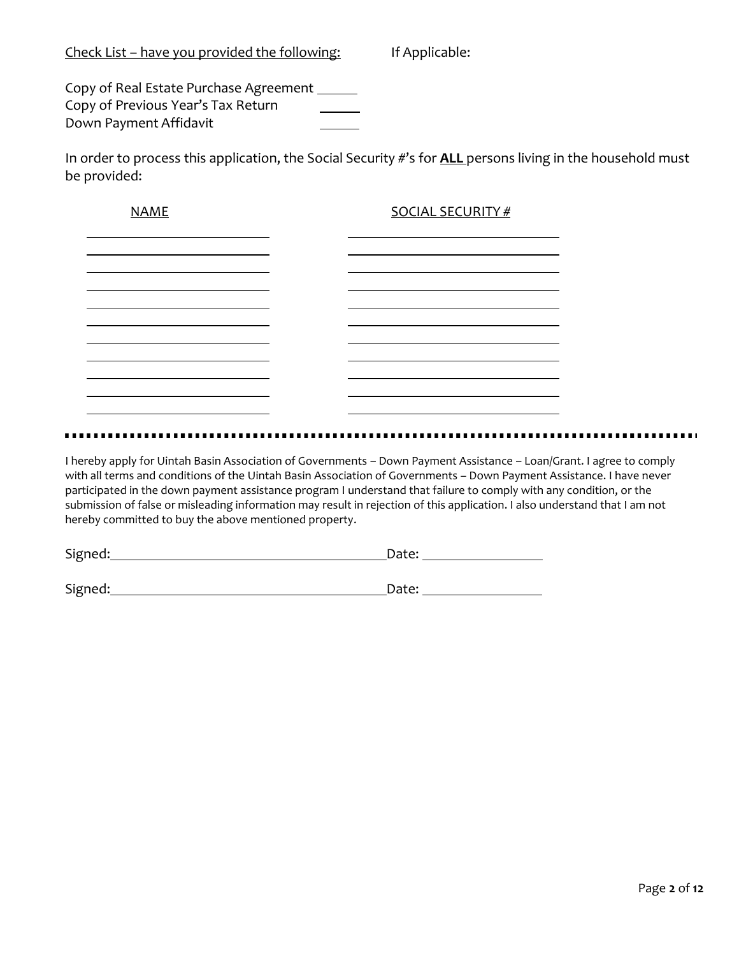Copy of Real Estate Purchase Agreement Copy of Previous Year's Tax Return Down Payment Affidavit

In order to process this application, the Social Security #'s for **ALL** persons living in the household must be provided:

| <b>NAME</b> | <b>SOCIAL SECURITY #</b> |
|-------------|--------------------------|
|             |                          |
|             |                          |
|             |                          |
|             |                          |
|             |                          |
|             |                          |
|             |                          |

I hereby apply for Uintah Basin Association of Governments – Down Payment Assistance – Loan/Grant. I agree to comply with all terms and conditions of the Uintah Basin Association of Governments – Down Payment Assistance. I have never participated in the down payment assistance program I understand that failure to comply with any condition, or the submission of false or misleading information may result in rejection of this application. I also understand that I am not hereby committed to buy the above mentioned property.

| Signed: | — _ <b>_</b> __<br>'ם דבו |
|---------|---------------------------|
|         |                           |

Signed: Date: